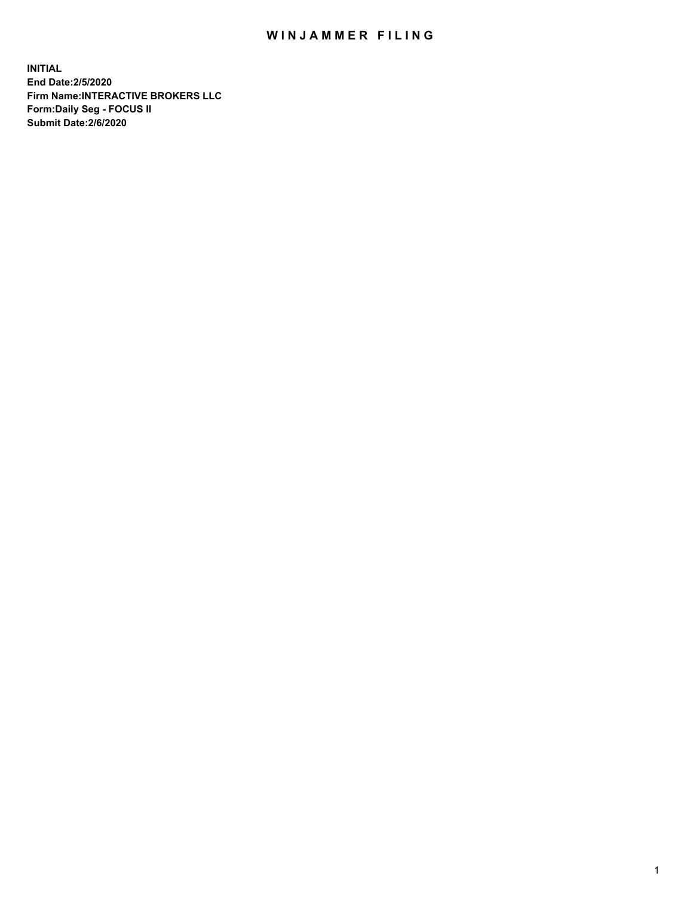## WIN JAMMER FILING

**INITIAL End Date:2/5/2020 Firm Name:INTERACTIVE BROKERS LLC Form:Daily Seg - FOCUS II Submit Date:2/6/2020**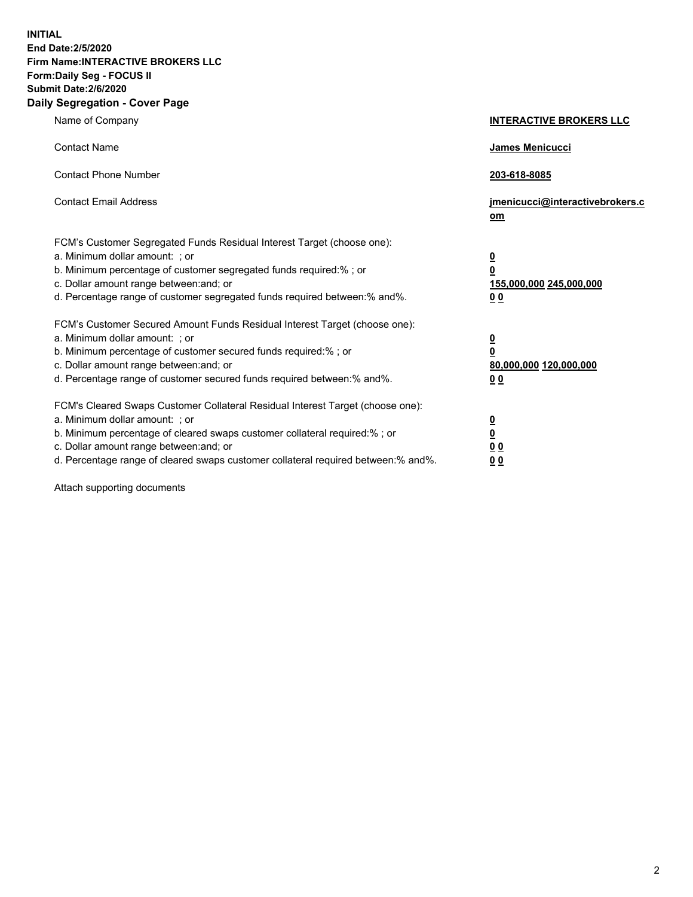**INITIAL End Date:2/5/2020 Firm Name:INTERACTIVE BROKERS LLC Form:Daily Seg - FOCUS II Submit Date:2/6/2020 Daily Segregation - Cover Page**

| Name of Company                                                                                                                                                                                                                                                                                                                | <b>INTERACTIVE BROKERS LLC</b>                                                                  |
|--------------------------------------------------------------------------------------------------------------------------------------------------------------------------------------------------------------------------------------------------------------------------------------------------------------------------------|-------------------------------------------------------------------------------------------------|
| <b>Contact Name</b>                                                                                                                                                                                                                                                                                                            | <b>James Menicucci</b>                                                                          |
| <b>Contact Phone Number</b>                                                                                                                                                                                                                                                                                                    | 203-618-8085                                                                                    |
| <b>Contact Email Address</b>                                                                                                                                                                                                                                                                                                   | jmenicucci@interactivebrokers.c<br>om                                                           |
| FCM's Customer Segregated Funds Residual Interest Target (choose one):<br>a. Minimum dollar amount: ; or<br>b. Minimum percentage of customer segregated funds required:% ; or<br>c. Dollar amount range between: and; or<br>d. Percentage range of customer segregated funds required between:% and%.                         | $\overline{\mathbf{0}}$<br>$\overline{\mathbf{0}}$<br>155,000,000 245,000,000<br>0 <sub>0</sub> |
| FCM's Customer Secured Amount Funds Residual Interest Target (choose one):<br>a. Minimum dollar amount: ; or<br>b. Minimum percentage of customer secured funds required:%; or<br>c. Dollar amount range between: and; or<br>d. Percentage range of customer secured funds required between:% and%.                            | $\overline{\mathbf{0}}$<br>$\mathbf 0$<br>80,000,000 120,000,000<br>0 <sub>0</sub>              |
| FCM's Cleared Swaps Customer Collateral Residual Interest Target (choose one):<br>a. Minimum dollar amount: ; or<br>b. Minimum percentage of cleared swaps customer collateral required:% ; or<br>c. Dollar amount range between: and; or<br>d. Percentage range of cleared swaps customer collateral required between:% and%. | $\overline{\mathbf{0}}$<br>$\underline{\mathbf{0}}$<br>0 <sub>0</sub><br>00                     |

Attach supporting documents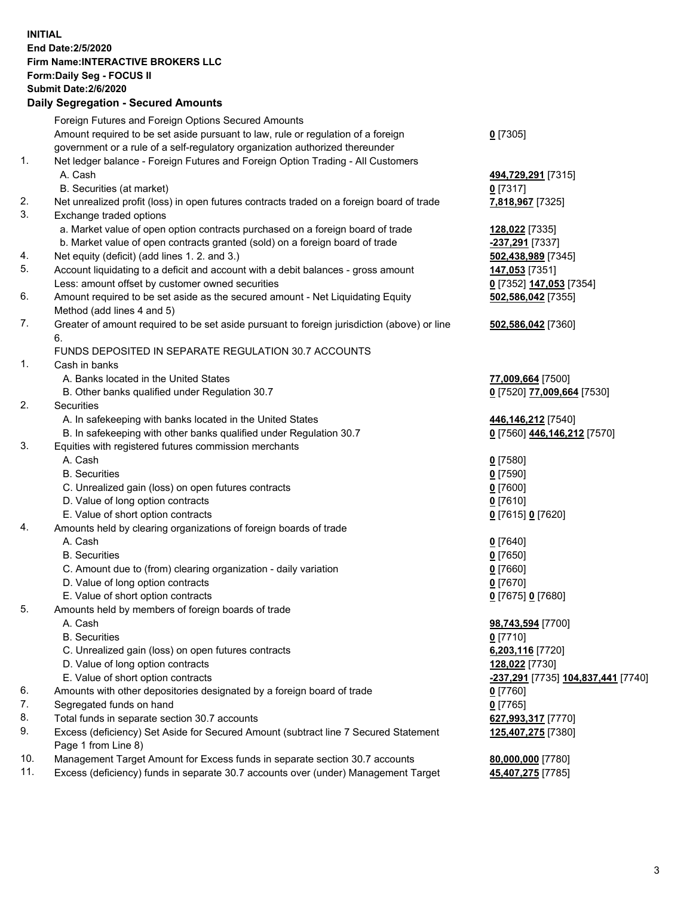## **INITIAL End Date:2/5/2020 Firm Name:INTERACTIVE BROKERS LLC Form:Daily Seg - FOCUS II Submit Date:2/6/2020 Daily Segregation - Secured Amounts**

|     | Foreign Futures and Foreign Options Secured Amounts                                                        |                                    |
|-----|------------------------------------------------------------------------------------------------------------|------------------------------------|
|     | Amount required to be set aside pursuant to law, rule or regulation of a foreign                           | $0$ [7305]                         |
|     | government or a rule of a self-regulatory organization authorized thereunder                               |                                    |
| 1.  | Net ledger balance - Foreign Futures and Foreign Option Trading - All Customers                            |                                    |
|     | A. Cash                                                                                                    | 494,729,291 [7315]                 |
|     | B. Securities (at market)                                                                                  | $0$ [7317]                         |
| 2.  | Net unrealized profit (loss) in open futures contracts traded on a foreign board of trade                  | 7,818,967 [7325]                   |
| 3.  | Exchange traded options                                                                                    |                                    |
|     | a. Market value of open option contracts purchased on a foreign board of trade                             | 128,022 [7335]                     |
|     | b. Market value of open contracts granted (sold) on a foreign board of trade                               | -237,291 [7337]                    |
| 4.  | Net equity (deficit) (add lines 1. 2. and 3.)                                                              | 502,438,989 [7345]                 |
| 5.  | Account liquidating to a deficit and account with a debit balances - gross amount                          | 147,053 [7351]                     |
|     | Less: amount offset by customer owned securities                                                           | 0 [7352] 147,053 [7354]            |
| 6.  | Amount required to be set aside as the secured amount - Net Liquidating Equity                             | 502,586,042 [7355]                 |
|     | Method (add lines 4 and 5)                                                                                 |                                    |
| 7.  | Greater of amount required to be set aside pursuant to foreign jurisdiction (above) or line                | 502,586,042 [7360]                 |
|     | 6.                                                                                                         |                                    |
|     | FUNDS DEPOSITED IN SEPARATE REGULATION 30.7 ACCOUNTS                                                       |                                    |
| 1.  | Cash in banks                                                                                              |                                    |
|     | A. Banks located in the United States                                                                      | 77,009,664 [7500]                  |
|     | B. Other banks qualified under Regulation 30.7                                                             | 0 [7520] 77,009,664 [7530]         |
| 2.  | Securities                                                                                                 |                                    |
|     | A. In safekeeping with banks located in the United States                                                  | 446,146,212 [7540]                 |
|     | B. In safekeeping with other banks qualified under Regulation 30.7                                         | 0 [7560] 446,146,212 [7570]        |
| 3.  | Equities with registered futures commission merchants                                                      |                                    |
|     | A. Cash                                                                                                    | $0$ [7580]                         |
|     | <b>B.</b> Securities                                                                                       | $0$ [7590]                         |
|     | C. Unrealized gain (loss) on open futures contracts                                                        | $0$ [7600]                         |
|     | D. Value of long option contracts                                                                          | $0$ [7610]                         |
|     | E. Value of short option contracts                                                                         | 0 [7615] 0 [7620]                  |
| 4.  | Amounts held by clearing organizations of foreign boards of trade                                          |                                    |
|     | A. Cash                                                                                                    | $0$ [7640]                         |
|     | <b>B.</b> Securities                                                                                       | $0$ [7650]                         |
|     | C. Amount due to (from) clearing organization - daily variation                                            | $0$ [7660]                         |
|     | D. Value of long option contracts                                                                          | $0$ [7670]                         |
|     | E. Value of short option contracts                                                                         | 0 [7675] 0 [7680]                  |
| 5.  | Amounts held by members of foreign boards of trade                                                         |                                    |
|     | A. Cash                                                                                                    | 98,743,594 [7700]                  |
|     | <b>B.</b> Securities                                                                                       | $0$ [7710]                         |
|     | C. Unrealized gain (loss) on open futures contracts                                                        | 6,203,116 [7720]                   |
|     | D. Value of long option contracts                                                                          | 128,022 [7730]                     |
|     | E. Value of short option contracts                                                                         | -237,291 [7735] 104,837,441 [7740] |
| 6.  | Amounts with other depositories designated by a foreign board of trade                                     | $0$ [7760]                         |
| 7.  | Segregated funds on hand                                                                                   | $0$ [7765]                         |
| 8.  | Total funds in separate section 30.7 accounts                                                              | 627,993,317 [7770]                 |
| 9.  | Excess (deficiency) Set Aside for Secured Amount (subtract line 7 Secured Statement<br>Page 1 from Line 8) | 125,407,275 [7380]                 |
| 10. | Management Target Amount for Excess funds in separate section 30.7 accounts                                | 80,000,000 [7780]                  |
| 11. | Excess (deficiency) funds in separate 30.7 accounts over (under) Management Target                         | 45,407,275 [7785]                  |
|     |                                                                                                            |                                    |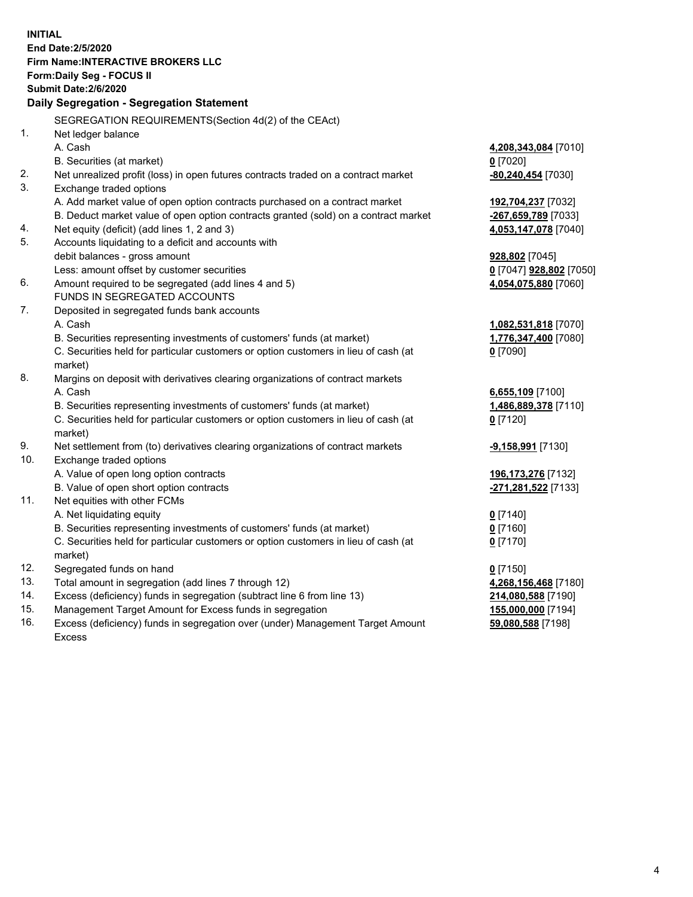**INITIAL End Date:2/5/2020 Firm Name:INTERACTIVE BROKERS LLC Form:Daily Seg - FOCUS II Submit Date:2/6/2020 Daily Segregation - Segregation Statement** SEGREGATION REQUIREMENTS(Section 4d(2) of the CEAct) 1. Net ledger balance A. Cash **4,208,343,084** [7010] B. Securities (at market) **0** [7020] 2. Net unrealized profit (loss) in open futures contracts traded on a contract market **-80,240,454** [7030] 3. Exchange traded options A. Add market value of open option contracts purchased on a contract market **192,704,237** [7032] B. Deduct market value of open option contracts granted (sold) on a contract market **-267,659,789** [7033] 4. Net equity (deficit) (add lines 1, 2 and 3) **4,053,147,078** [7040] 5. Accounts liquidating to a deficit and accounts with debit balances - gross amount **928,802** [7045] Less: amount offset by customer securities **0** [7047] **928,802** [7050] 6. Amount required to be segregated (add lines 4 and 5) **4,054,075,880** [7060] FUNDS IN SEGREGATED ACCOUNTS 7. Deposited in segregated funds bank accounts A. Cash **1,082,531,818** [7070] B. Securities representing investments of customers' funds (at market) **1,776,347,400** [7080] C. Securities held for particular customers or option customers in lieu of cash (at market) **0** [7090] 8. Margins on deposit with derivatives clearing organizations of contract markets A. Cash **6,655,109** [7100] B. Securities representing investments of customers' funds (at market) **1,486,889,378** [7110] C. Securities held for particular customers or option customers in lieu of cash (at market) **0** [7120] 9. Net settlement from (to) derivatives clearing organizations of contract markets **-9,158,991** [7130] 10. Exchange traded options A. Value of open long option contracts **196,173,276** [7132] B. Value of open short option contracts **-271,281,522** [7133] 11. Net equities with other FCMs A. Net liquidating equity **0** [7140] B. Securities representing investments of customers' funds (at market) **0** [7160] C. Securities held for particular customers or option customers in lieu of cash (at market) **0** [7170] 12. Segregated funds on hand **0** [7150] 13. Total amount in segregation (add lines 7 through 12) **4,268,156,468** [7180] 14. Excess (deficiency) funds in segregation (subtract line 6 from line 13) **214,080,588** [7190] 15. Management Target Amount for Excess funds in segregation **155,000,000** [7194] 16. Excess (deficiency) funds in segregation over (under) Management Target Amount **59,080,588** [7198]

Excess